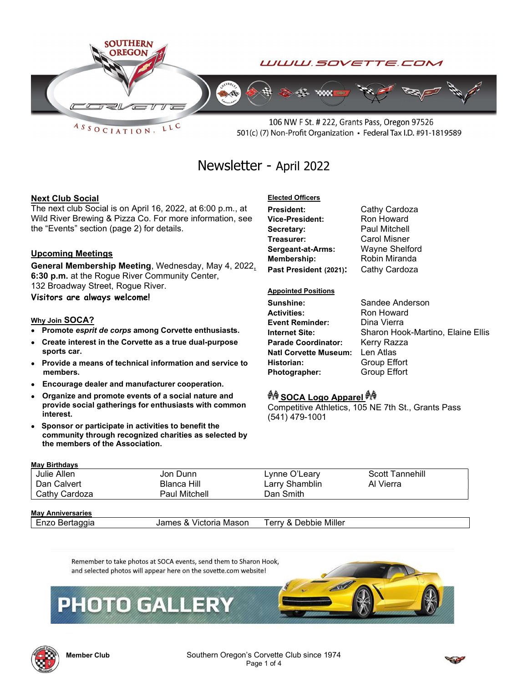

 $ASSOCIATION$ LLC

106 NW F St. # 222, Grants Pass, Oregon 97526 501(c) (7) Non-Profit Organization • Federal Tax I.D. #91-1819589

# Newsletter - April 2022

#### Next Club Social

The next club Social is on April 16, 2022, at 6:00 p.m., at Wild River Brewing & Pizza Co. For more information, see the "Events" section (page 2) for details.

#### Upcoming Meetings

General Membership Meeting, Wednesday, May 4, 2022, 6:30 p.m. at the Rogue River Community Center, 132 Broadway Street, Rogue River.

Visitors are always welcome!

#### Why Join SOCA?

- Promote esprit de corps among Corvette enthusiasts.
- Create interest in the Corvette as a true dual-purpose sports car.
- Provide a means of technical information and service to members.
- Encourage dealer and manufacturer cooperation.
- Organize and promote events of a social nature and provide social gatherings for enthusiasts with common interest.
- Sponsor or participate in activities to benefit the community through recognized charities as selected by the members of the Association.

#### Elected Officers President: Cathy Cardoza

Vice-President: Ron Howard Secretary: Paul Mitchell Treasurer: Carol Misner Sergeant-at-Arms: Wayne Shelford Membership: Robin Miranda Past President (2021): Cathy Cardoza

#### Appointed Positions

Sunshine: Sandee Anderson **Activities:** Ron Howard<br> **Event Reminder:** Dina Vierra Event Reminder: Parade Coordinator: Kerry Razza Natl Corvette Museum: Len Atlas Historian: Group Effort Photographer: Group Effort

Internet Site: Sharon Hook-Martino, Elaine Ellis

### *<sup>ইাৰি</sup>* SOCA Logo Apparel <sup>*ইা*ৰি</sup>

Competitive Athletics, 105 NE 7th St., Grants Pass (541) 479-1001

| <b>May Birthdays</b>     |                        |                       |                              |  |  |  |
|--------------------------|------------------------|-----------------------|------------------------------|--|--|--|
| Julie Allen              | Jon Dunn               | Lynne O'Leary         | Scott Tannehill<br>Al Vierra |  |  |  |
| Dan Calvert              | Blanca Hill            | Larry Shamblin        |                              |  |  |  |
| Cathy Cardoza            | Paul Mitchell          | Dan Smith             |                              |  |  |  |
|                          |                        |                       |                              |  |  |  |
| <b>May Anniversaries</b> |                        |                       |                              |  |  |  |
| Enzo Bertaggia           | James & Victoria Mason | Terrv & Debbie Miller |                              |  |  |  |







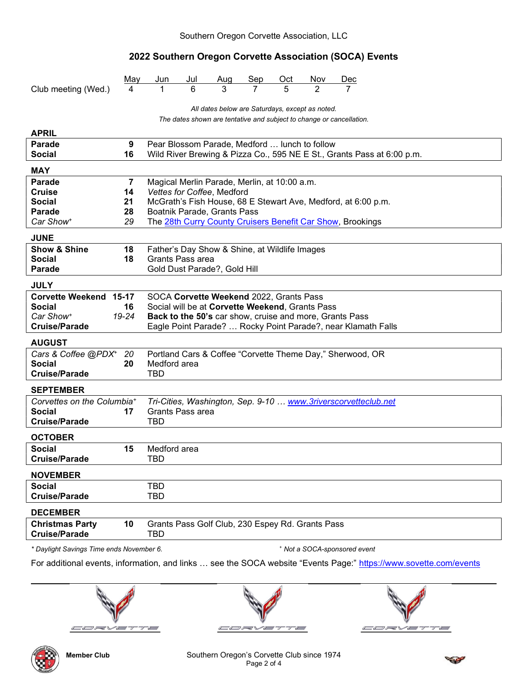# 2022 Southern Oregon Corvette Association (SOCA) Events

|                                                                          | May            | Jun                                                                                                        | Jul | Aug                                              | Sep | Oct | Nov | Dec                                                                    |  |  |
|--------------------------------------------------------------------------|----------------|------------------------------------------------------------------------------------------------------------|-----|--------------------------------------------------|-----|-----|-----|------------------------------------------------------------------------|--|--|
| Club meeting (Wed.)                                                      | 4              | 1                                                                                                          | 6   | 3                                                |     | 5   | 2   |                                                                        |  |  |
| All dates below are Saturdays, except as noted.                          |                |                                                                                                            |     |                                                  |     |     |     |                                                                        |  |  |
| The dates shown are tentative and subject to change or cancellation.     |                |                                                                                                            |     |                                                  |     |     |     |                                                                        |  |  |
| <b>APRIL</b>                                                             |                |                                                                                                            |     |                                                  |     |     |     |                                                                        |  |  |
| Parade                                                                   | 9              | Pear Blossom Parade, Medford  lunch to follow                                                              |     |                                                  |     |     |     |                                                                        |  |  |
| <b>Social</b><br>16                                                      |                |                                                                                                            |     |                                                  |     |     |     | Wild River Brewing & Pizza Co., 595 NE E St., Grants Pass at 6:00 p.m. |  |  |
| <b>MAY</b>                                                               |                |                                                                                                            |     |                                                  |     |     |     |                                                                        |  |  |
| <b>Parade</b>                                                            | $\overline{7}$ | Magical Merlin Parade, Merlin, at 10:00 a.m.                                                               |     |                                                  |     |     |     |                                                                        |  |  |
| <b>Cruise</b><br>14                                                      |                | Vettes for Coffee, Medford                                                                                 |     |                                                  |     |     |     |                                                                        |  |  |
| <b>Social</b><br>21<br><b>Parade</b><br>28                               |                | McGrath's Fish House, 68 E Stewart Ave, Medford, at 6:00 p.m.<br>Boatnik Parade, Grants Pass               |     |                                                  |     |     |     |                                                                        |  |  |
| 29<br>Car Show <sup>+</sup>                                              |                | The 28th Curry County Cruisers Benefit Car Show, Brookings                                                 |     |                                                  |     |     |     |                                                                        |  |  |
| <b>JUNE</b>                                                              |                |                                                                                                            |     |                                                  |     |     |     |                                                                        |  |  |
| <b>Show &amp; Shine</b><br>18                                            |                |                                                                                                            |     | Father's Day Show & Shine, at Wildlife Images    |     |     |     |                                                                        |  |  |
| <b>Social</b><br>18                                                      |                | Grants Pass area                                                                                           |     |                                                  |     |     |     |                                                                        |  |  |
| <b>Parade</b>                                                            |                |                                                                                                            |     | Gold Dust Parade?, Gold Hill                     |     |     |     |                                                                        |  |  |
| <b>JULY</b>                                                              |                |                                                                                                            |     |                                                  |     |     |     |                                                                        |  |  |
| Corvette Weekend 15-17                                                   |                |                                                                                                            |     | SOCA Corvette Weekend 2022, Grants Pass          |     |     |     |                                                                        |  |  |
| <b>Social</b><br>16                                                      |                | Social will be at Corvette Weekend, Grants Pass<br>Back to the 50's car show, cruise and more, Grants Pass |     |                                                  |     |     |     |                                                                        |  |  |
| Car Show <sup>+</sup><br>19-24                                           |                |                                                                                                            |     |                                                  |     |     |     |                                                                        |  |  |
| <b>Cruise/Parade</b>                                                     |                |                                                                                                            |     |                                                  |     |     |     | Eagle Point Parade?  Rocky Point Parade?, near Klamath Falls           |  |  |
| <b>AUGUST</b>                                                            |                |                                                                                                            |     |                                                  |     |     |     |                                                                        |  |  |
| Cars & Coffee @PDX <sup>+</sup><br>20                                    |                |                                                                                                            |     |                                                  |     |     |     | Portland Cars & Coffee "Corvette Theme Day," Sherwood, OR              |  |  |
| <b>Social</b><br>20<br><b>Cruise/Parade</b>                              |                | Medford area<br>TBD                                                                                        |     |                                                  |     |     |     |                                                                        |  |  |
|                                                                          |                |                                                                                                            |     |                                                  |     |     |     |                                                                        |  |  |
| <b>SEPTEMBER</b>                                                         |                |                                                                                                            |     |                                                  |     |     |     |                                                                        |  |  |
| Corvettes on the Columbia <sup>+</sup>                                   |                | <b>Grants Pass area</b>                                                                                    |     |                                                  |     |     |     | Tri-Cities, Washington, Sep. 9-10  www.3riverscorvetteclub.net         |  |  |
| <b>Social</b><br>17<br><b>Cruise/Parade</b>                              |                | TBD                                                                                                        |     |                                                  |     |     |     |                                                                        |  |  |
| <b>OCTOBER</b>                                                           |                |                                                                                                            |     |                                                  |     |     |     |                                                                        |  |  |
| <b>Social</b><br>15                                                      |                | Medford area                                                                                               |     |                                                  |     |     |     |                                                                        |  |  |
| <b>Cruise/Parade</b>                                                     |                | TBD                                                                                                        |     |                                                  |     |     |     |                                                                        |  |  |
| <b>NOVEMBER</b>                                                          |                |                                                                                                            |     |                                                  |     |     |     |                                                                        |  |  |
| <b>Social</b>                                                            |                | <b>TBD</b>                                                                                                 |     |                                                  |     |     |     |                                                                        |  |  |
| <b>Cruise/Parade</b>                                                     |                | TBD                                                                                                        |     |                                                  |     |     |     |                                                                        |  |  |
| <b>DECEMBER</b>                                                          |                |                                                                                                            |     |                                                  |     |     |     |                                                                        |  |  |
| <b>Christmas Party</b><br>10                                             |                |                                                                                                            |     | Grants Pass Golf Club, 230 Espey Rd. Grants Pass |     |     |     |                                                                        |  |  |
| <b>Cruise/Parade</b>                                                     |                | TBD                                                                                                        |     |                                                  |     |     |     |                                                                        |  |  |
| * Daylight Savings Time ends November 6.<br>* Not a SOCA-sponsored event |                |                                                                                                            |     |                                                  |     |     |     |                                                                        |  |  |

For additional events, information, and links ... see the SOCA website "Events Page:" https://www.sovette.com/events









l

Member Club **Southern Oregon's Corvette Club since 1974** Page 2 of 4

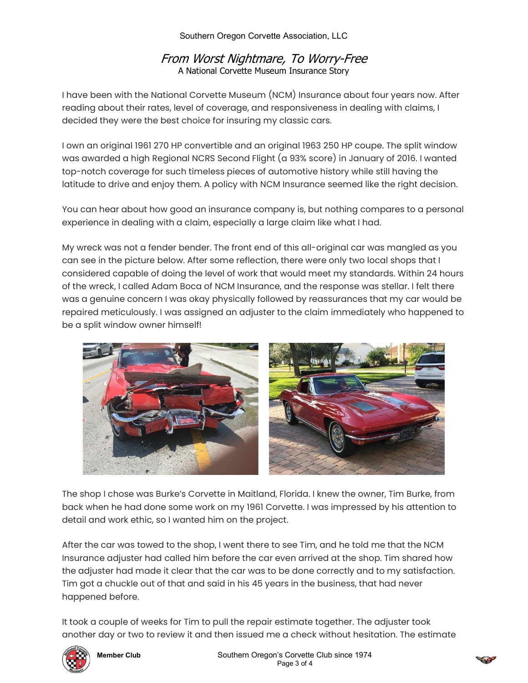Southern Oregon Corvette Association, LLC

# From Worst Nightmare, To Worry-Free A National Corvette Museum Insurance Story

I have been with the National Corvette Museum (NCM) Insurance about four years now. After reading about their rates, level of coverage, and responsiveness in dealing with claims, I decided they were the best choice for insuring my classic cars.

I own an original 1961 270 HP convertible and an original 1963 250 HP coupe. The split window was awarded a high Regional NCRS Second Flight (a 93% score) in January of 2016. I wanted top-notch coverage for such timeless pieces of automotive history while still having the latitude to drive and enjoy them. A policy with NCM Insurance seemed like the right decision.

You can hear about how good an insurance company is, but nothing compares to a personal experience in dealing with a claim, especially a large claim like what I had.

My wreck was not a fender bender. The front end of this all-original car was mangled as you can see in the picture below. After some reflection, there were only two local shops that I considered capable of doing the level of work that would meet my standards. Within 24 hours of the wreck, I called Adam Boca of NCM Insurance, and the response was stellar. I felt there was a genuine concern I was okay physically followed by reassurances that my car would be repaired meticulously. I was assigned an adjuster to the claim immediately who happened to be a split window owner himself!



The shop I chose was Burke's Corvette in Maitland, Florida. I knew the owner, Tim Burke, from back when he had done some work on my 1961 Corvette. I was impressed by his attention to detail and work ethic, so I wanted him on the project.

After the car was towed to the shop, I went there to see Tim, and he told me that the NCM Insurance adjuster had called him before the car even arrived at the shop. Tim shared how the adjuster had made it clear that the car was to be done correctly and to my satisfaction. Tim got a chuckle out of that and said in his 45 years in the business, that had never happened before.

It took a couple of weeks for Tim to pull the repair estimate together. The adjuster took another day or two to review it and then issued me a check without hesitation. The estimate